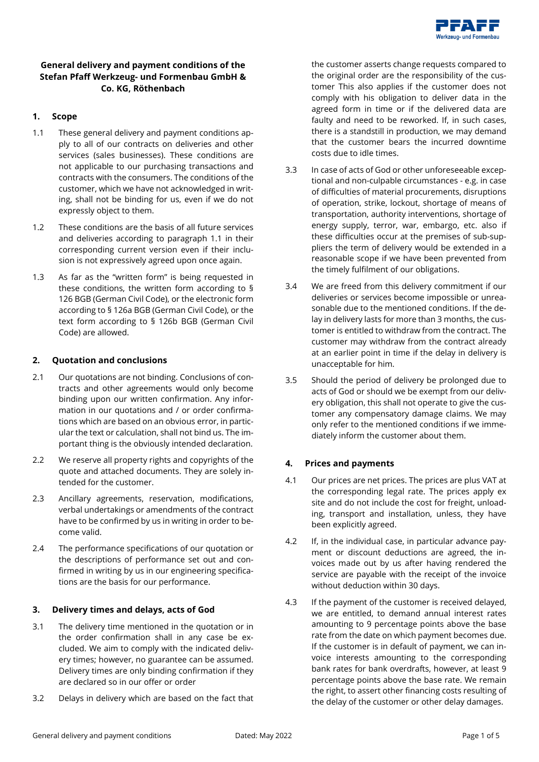

# **General delivery and payment conditions of the Stefan Pfaff Werkzeug- und Formenbau GmbH & Co. KG, Röthenbach**

#### **1. Scope**

- 1.1 These general delivery and payment conditions apply to all of our contracts on deliveries and other services (sales businesses). These conditions are not applicable to our purchasing transactions and contracts with the consumers. The conditions of the customer, which we have not acknowledged in writing, shall not be binding for us, even if we do not expressly object to them.
- 1.2 These conditions are the basis of all future services and deliveries according to paragraph 1.1 in their corresponding current version even if their inclusion is not expressively agreed upon once again.
- 1.3 As far as the "written form" is being requested in these conditions, the written form according to § 126 BGB (German Civil Code), or the electronic form according to § 126a BGB (German Civil Code), or the text form according to § 126b BGB (German Civil Code) are allowed.

#### **2. Quotation and conclusions**

- 2.1 Our quotations are not binding. Conclusions of contracts and other agreements would only become binding upon our written confirmation. Any information in our quotations and / or order confirmations which are based on an obvious error, in particular the text or calculation, shall not bind us. The important thing is the obviously intended declaration.
- 2.2 We reserve all property rights and copyrights of the quote and attached documents. They are solely intended for the customer.
- 2.3 Ancillary agreements, reservation, modifications, verbal undertakings or amendments of the contract have to be confirmed by us in writing in order to become valid.
- 2.4 The performance specifications of our quotation or the descriptions of performance set out and confirmed in writing by us in our engineering specifications are the basis for our performance.

### **3. Delivery times and delays, acts of God**

- 3.1 The delivery time mentioned in the quotation or in the order confirmation shall in any case be excluded. We aim to comply with the indicated delivery times; however, no guarantee can be assumed. Delivery times are only binding confirmation if they are declared so in our offer or order
- 3.2 Delays in delivery which are based on the fact that

the customer asserts change requests compared to the original order are the responsibility of the customer This also applies if the customer does not comply with his obligation to deliver data in the agreed form in time or if the delivered data are faulty and need to be reworked. If, in such cases, there is a standstill in production, we may demand that the customer bears the incurred downtime costs due to idle times.

- 3.3 In case of acts of God or other unforeseeable exceptional and non-culpable circumstances - e.g. in case of difficulties of material procurements, disruptions of operation, strike, lockout, shortage of means of transportation, authority interventions, shortage of energy supply, terror, war, embargo, etc. also if these difficulties occur at the premises of sub-suppliers the term of delivery would be extended in a reasonable scope if we have been prevented from the timely fulfilment of our obligations.
- 3.4 We are freed from this delivery commitment if our deliveries or services become impossible or unreasonable due to the mentioned conditions. If the delay in delivery lasts for more than 3 months, the customer is entitled to withdraw from the contract. The customer may withdraw from the contract already at an earlier point in time if the delay in delivery is unacceptable for him.
- 3.5 Should the period of delivery be prolonged due to acts of God or should we be exempt from our delivery obligation, this shall not operate to give the customer any compensatory damage claims. We may only refer to the mentioned conditions if we immediately inform the customer about them.

### **4. Prices and payments**

- 4.1 Our prices are net prices. The prices are plus VAT at the corresponding legal rate. The prices apply ex site and do not include the cost for freight, unloading, transport and installation, unless, they have been explicitly agreed.
- 4.2 If, in the individual case, in particular advance payment or discount deductions are agreed, the invoices made out by us after having rendered the service are payable with the receipt of the invoice without deduction within 30 days.
- 4.3 If the payment of the customer is received delayed, we are entitled, to demand annual interest rates amounting to 9 percentage points above the base rate from the date on which payment becomes due. If the customer is in default of payment, we can invoice interests amounting to the corresponding bank rates for bank overdrafts, however, at least 9 percentage points above the base rate. We remain the right, to assert other financing costs resulting of the delay of the customer or other delay damages.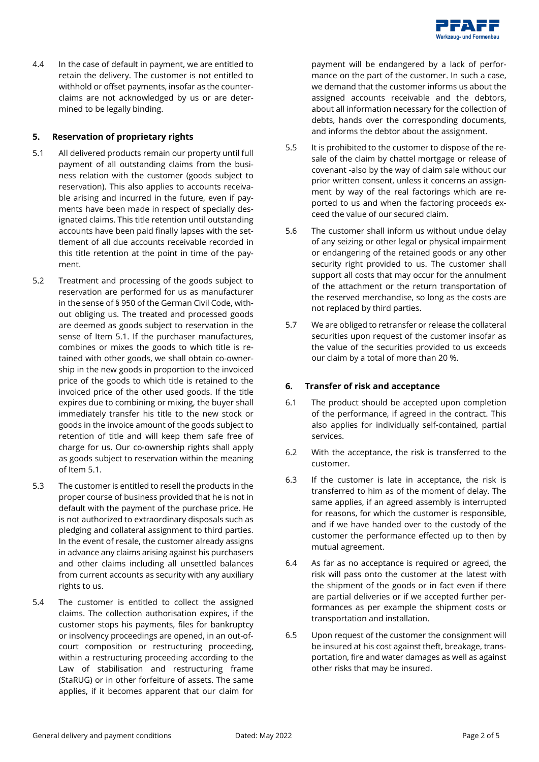

4.4 In the case of default in payment, we are entitled to retain the delivery. The customer is not entitled to withhold or offset payments, insofar as the counterclaims are not acknowledged by us or are determined to be legally binding.

#### **5. Reservation of proprietary rights**

- 5.1 All delivered products remain our property until full payment of all outstanding claims from the business relation with the customer (goods subject to reservation). This also applies to accounts receivable arising and incurred in the future, even if payments have been made in respect of specially designated claims. This title retention until outstanding accounts have been paid finally lapses with the settlement of all due accounts receivable recorded in this title retention at the point in time of the payment.
- 5.2 Treatment and processing of the goods subject to reservation are performed for us as manufacturer in the sense of § 950 of the German Civil Code, without obliging us. The treated and processed goods are deemed as goods subject to reservation in the sense of Item 5.1. If the purchaser manufactures, combines or mixes the goods to which title is retained with other goods, we shall obtain co-ownership in the new goods in proportion to the invoiced price of the goods to which title is retained to the invoiced price of the other used goods. If the title expires due to combining or mixing, the buyer shall immediately transfer his title to the new stock or goods in the invoice amount of the goods subject to retention of title and will keep them safe free of charge for us. Our co-ownership rights shall apply as goods subject to reservation within the meaning of Item 5.1.
- 5.3 The customer is entitled to resell the products in the proper course of business provided that he is not in default with the payment of the purchase price. He is not authorized to extraordinary disposals such as pledging and collateral assignment to third parties. In the event of resale, the customer already assigns in advance any claims arising against his purchasers and other claims including all unsettled balances from current accounts as security with any auxiliary rights to us.
- 5.4 The customer is entitled to collect the assigned claims. The collection authorisation expires, if the customer stops his payments, files for bankruptcy or insolvency proceedings are opened, in an out-ofcourt composition or restructuring proceeding, within a restructuring proceeding according to the Law of stabilisation and restructuring frame (StaRUG) or in other forfeiture of assets. The same applies, if it becomes apparent that our claim for

payment will be endangered by a lack of performance on the part of the customer. In such a case, we demand that the customer informs us about the assigned accounts receivable and the debtors, about all information necessary for the collection of debts, hands over the corresponding documents, and informs the debtor about the assignment.

- 5.5 It is prohibited to the customer to dispose of the resale of the claim by chattel mortgage or release of covenant -also by the way of claim sale without our prior written consent, unless it concerns an assignment by way of the real factorings which are reported to us and when the factoring proceeds exceed the value of our secured claim.
- 5.6 The customer shall inform us without undue delay of any seizing or other legal or physical impairment or endangering of the retained goods or any other security right provided to us. The customer shall support all costs that may occur for the annulment of the attachment or the return transportation of the reserved merchandise, so long as the costs are not replaced by third parties.
- 5.7 We are obliged to retransfer or release the collateral securities upon request of the customer insofar as the value of the securities provided to us exceeds our claim by a total of more than 20 %.

#### **6. Transfer of risk and acceptance**

- 6.1 The product should be accepted upon completion of the performance, if agreed in the contract. This also applies for individually self-contained, partial services.
- 6.2 With the acceptance, the risk is transferred to the customer.
- 6.3 If the customer is late in acceptance, the risk is transferred to him as of the moment of delay. The same applies, if an agreed assembly is interrupted for reasons, for which the customer is responsible, and if we have handed over to the custody of the customer the performance effected up to then by mutual agreement.
- 6.4 As far as no acceptance is required or agreed, the risk will pass onto the customer at the latest with the shipment of the goods or in fact even if there are partial deliveries or if we accepted further performances as per example the shipment costs or transportation and installation.
- 6.5 Upon request of the customer the consignment will be insured at his cost against theft, breakage, transportation, fire and water damages as well as against other risks that may be insured.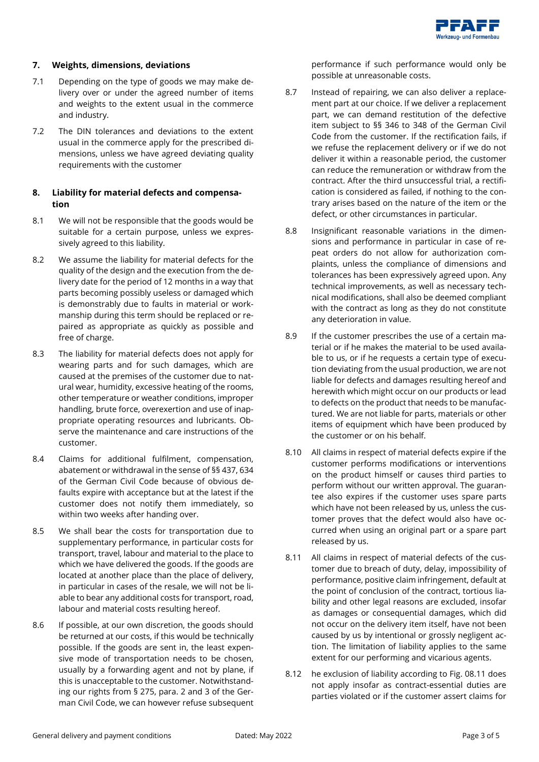

#### **7. Weights, dimensions, deviations**

- 7.1 Depending on the type of goods we may make delivery over or under the agreed number of items and weights to the extent usual in the commerce and industry.
- 7.2 The DIN tolerances and deviations to the extent usual in the commerce apply for the prescribed dimensions, unless we have agreed deviating quality requirements with the customer

## **8. Liability for material defects and compensation**

- 8.1 We will not be responsible that the goods would be suitable for a certain purpose, unless we expressively agreed to this liability.
- 8.2 We assume the liability for material defects for the quality of the design and the execution from the delivery date for the period of 12 months in a way that parts becoming possibly useless or damaged which is demonstrably due to faults in material or workmanship during this term should be replaced or repaired as appropriate as quickly as possible and free of charge.
- 8.3 The liability for material defects does not apply for wearing parts and for such damages, which are caused at the premises of the customer due to natural wear, humidity, excessive heating of the rooms, other temperature or weather conditions, improper handling, brute force, overexertion and use of inappropriate operating resources and lubricants. Observe the maintenance and care instructions of the customer.
- 8.4 Claims for additional fulfilment, compensation, abatement or withdrawal in the sense of §§ 437, 634 of the German Civil Code because of obvious defaults expire with acceptance but at the latest if the customer does not notify them immediately, so within two weeks after handing over.
- 8.5 We shall bear the costs for transportation due to supplementary performance, in particular costs for transport, travel, labour and material to the place to which we have delivered the goods. If the goods are located at another place than the place of delivery, in particular in cases of the resale, we will not be liable to bear any additional costs for transport, road, labour and material costs resulting hereof.
- 8.6 If possible, at our own discretion, the goods should be returned at our costs, if this would be technically possible. If the goods are sent in, the least expensive mode of transportation needs to be chosen, usually by a forwarding agent and not by plane, if this is unacceptable to the customer. Notwithstanding our rights from § 275, para. 2 and 3 of the German Civil Code, we can however refuse subsequent

performance if such performance would only be possible at unreasonable costs.

- 8.7 Instead of repairing, we can also deliver a replacement part at our choice. If we deliver a replacement part, we can demand restitution of the defective item subject to §§ 346 to 348 of the German Civil Code from the customer. If the rectification fails, if we refuse the replacement delivery or if we do not deliver it within a reasonable period, the customer can reduce the remuneration or withdraw from the contract. After the third unsuccessful trial, a rectification is considered as failed, if nothing to the contrary arises based on the nature of the item or the defect, or other circumstances in particular.
- 8.8 Insignificant reasonable variations in the dimensions and performance in particular in case of repeat orders do not allow for authorization complaints, unless the compliance of dimensions and tolerances has been expressively agreed upon. Any technical improvements, as well as necessary technical modifications, shall also be deemed compliant with the contract as long as they do not constitute any deterioration in value.
- 8.9 If the customer prescribes the use of a certain material or if he makes the material to be used available to us, or if he requests a certain type of execution deviating from the usual production, we are not liable for defects and damages resulting hereof and herewith which might occur on our products or lead to defects on the product that needs to be manufactured. We are not liable for parts, materials or other items of equipment which have been produced by the customer or on his behalf.
- 8.10 All claims in respect of material defects expire if the customer performs modifications or interventions on the product himself or causes third parties to perform without our written approval. The guarantee also expires if the customer uses spare parts which have not been released by us, unless the customer proves that the defect would also have occurred when using an original part or a spare part released by us.
- 8.11 All claims in respect of material defects of the customer due to breach of duty, delay, impossibility of performance, positive claim infringement, default at the point of conclusion of the contract, tortious liability and other legal reasons are excluded, insofar as damages or consequential damages, which did not occur on the delivery item itself, have not been caused by us by intentional or grossly negligent action. The limitation of liability applies to the same extent for our performing and vicarious agents.
- 8.12 he exclusion of liability according to Fig. 08.11 does not apply insofar as contract-essential duties are parties violated or if the customer assert claims for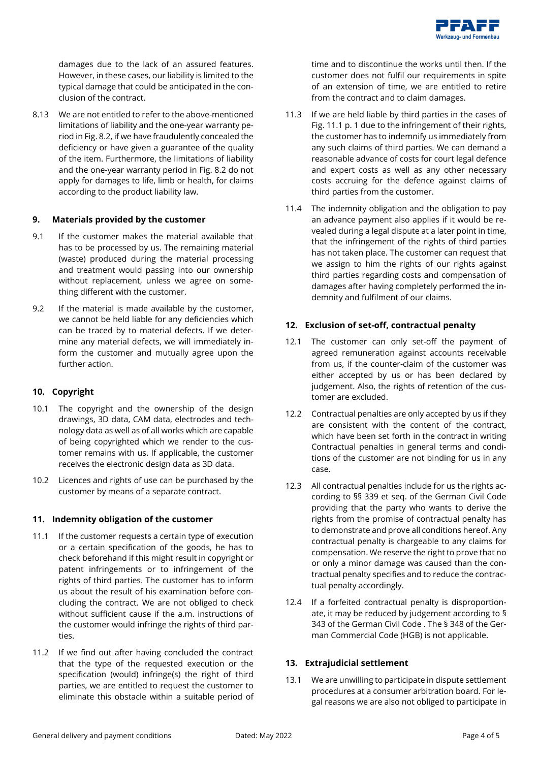

damages due to the lack of an assured features. However, in these cases, our liability is limited to the typical damage that could be anticipated in the conclusion of the contract.

8.13 We are not entitled to refer to the above-mentioned limitations of liability and the one-year warranty period in Fig. 8.2, if we have fraudulently concealed the deficiency or have given a guarantee of the quality of the item. Furthermore, the limitations of liability and the one-year warranty period in Fig. 8.2 do not apply for damages to life, limb or health, for claims according to the product liability law.

### **9. Materials provided by the customer**

- 9.1 If the customer makes the material available that has to be processed by us. The remaining material (waste) produced during the material processing and treatment would passing into our ownership without replacement, unless we agree on something different with the customer.
- 9.2 If the material is made available by the customer, we cannot be held liable for any deficiencies which can be traced by to material defects. If we determine any material defects, we will immediately inform the customer and mutually agree upon the further action.

### **10. Copyright**

- 10.1 The copyright and the ownership of the design drawings, 3D data, CAM data, electrodes and technology data as well as of all works which are capable of being copyrighted which we render to the customer remains with us. If applicable, the customer receives the electronic design data as 3D data.
- 10.2 Licences and rights of use can be purchased by the customer by means of a separate contract.

### **11. Indemnity obligation of the customer**

- 11.1 If the customer requests a certain type of execution or a certain specification of the goods, he has to check beforehand if this might result in copyright or patent infringements or to infringement of the rights of third parties. The customer has to inform us about the result of his examination before concluding the contract. We are not obliged to check without sufficient cause if the a.m. instructions of the customer would infringe the rights of third parties.
- 11.2 If we find out after having concluded the contract that the type of the requested execution or the specification (would) infringe(s) the right of third parties, we are entitled to request the customer to eliminate this obstacle within a suitable period of

time and to discontinue the works until then. If the customer does not fulfil our requirements in spite of an extension of time, we are entitled to retire from the contract and to claim damages.

- 11.3 If we are held liable by third parties in the cases of Fig. 11.1 p. 1 due to the infringement of their rights, the customer has to indemnify us immediately from any such claims of third parties. We can demand a reasonable advance of costs for court legal defence and expert costs as well as any other necessary costs accruing for the defence against claims of third parties from the customer.
- 11.4 The indemnity obligation and the obligation to pay an advance payment also applies if it would be revealed during a legal dispute at a later point in time, that the infringement of the rights of third parties has not taken place. The customer can request that we assign to him the rights of our rights against third parties regarding costs and compensation of damages after having completely performed the indemnity and fulfilment of our claims.

## **12. Exclusion of set-off, contractual penalty**

- 12.1 The customer can only set-off the payment of agreed remuneration against accounts receivable from us, if the counter-claim of the customer was either accepted by us or has been declared by judgement. Also, the rights of retention of the customer are excluded.
- 12.2 Contractual penalties are only accepted by us if they are consistent with the content of the contract, which have been set forth in the contract in writing Contractual penalties in general terms and conditions of the customer are not binding for us in any case.
- 12.3 All contractual penalties include for us the rights according to §§ 339 et seq. of the German Civil Code providing that the party who wants to derive the rights from the promise of contractual penalty has to demonstrate and prove all conditions hereof. Any contractual penalty is chargeable to any claims for compensation. We reserve the right to prove that no or only a minor damage was caused than the contractual penalty specifies and to reduce the contractual penalty accordingly.
- 12.4 If a forfeited contractual penalty is disproportionate, it may be reduced by judgement according to § 343 of the German Civil Code . The § 348 of the German Commercial Code (HGB) is not applicable.

# **13. Extrajudicial settlement**

13.1 We are unwilling to participate in dispute settlement procedures at a consumer arbitration board. For legal reasons we are also not obliged to participate in